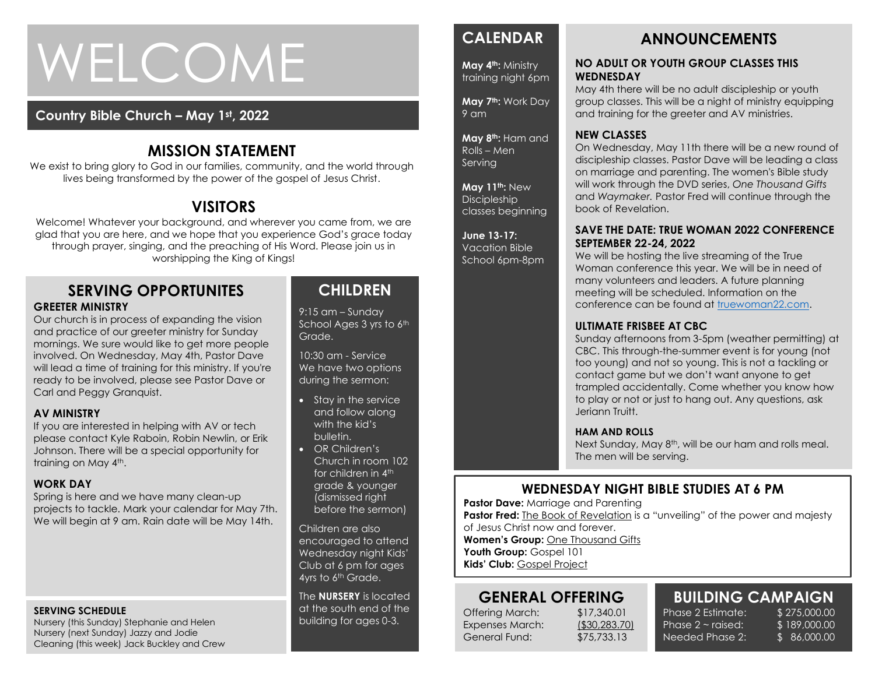# WELCOME

## **Country Bible Church – May 1st , 2022**

## **MISSION STATEMENT**

We exist to bring glory to God in our families, community, and the world through lives being transformed by the power of the gospel of Jesus Christ.

## **VISITORS**

Welcome! Whatever your background, and wherever you came from, we are glad that you are here, and we hope that you experience God's grace today through prayer, singing, and the preaching of His Word. Please join us in worshipping the King of Kings!

#### **SERVING OPPORTUNITES GREETER MINISTRY**

Our church is in process of expanding the vision and practice of our greeter ministry for Sunday mornings. We sure would like to get more people involved. On Wednesday, May 4th, Pastor Dave will lead a time of training for this ministry. If you're ready to be involved, please see Pastor Dave or Carl and Peggy Granquist.

#### **AV MINISTRY**

If you are interested in helping with AV or tech please contact Kyle Raboin, Robin Newlin, or Erik Johnson. There will be a special opportunity for training on May 4<sup>th</sup>.

#### **WORK DAY**

Spring is here and we have many clean-up projects to tackle. Mark your calendar for May 7th. We will begin at 9 am. Rain date will be May 14th.

#### **SERVING SCHEDULE**

Nursery (this Sunday) Stephanie and Helen Nursery (next Sunday) Jazzy and Jodie Cleaning (this week) Jack Buckley and Crew

## **CHILDREN**

9:15 am – Sunday School Ages 3 yrs to 6th Grade.

10:30 am - Service We have two options during the sermon:

- Stay in the service and follow along with the kid's bulletin.
- OR Children's Church in room 102 for children in 4<sup>th</sup> grade & younger (dismissed right before the sermon)

Children are also encouraged to attend Wednesday night Kids' Club at 6 pm for ages 4yrs to 6<sup>th</sup> Grade.

The **NURSERY** is located at the south end of the building for ages 0-3.

## **CALENDAR**

**May 4th:** Ministry training night 6pm

**May 7th:** Work Day 9 am

**May 8th:** Ham and Rolls – Men Serving

**May 11th:** New **Discipleship** classes beginning

**June 13-17:**  Vacation Bible School 6pm-8pm

## **ANNOUNCEMENTS**

#### **NO ADULT OR YOUTH GROUP CLASSES THIS WEDNESDAY**

May 4th there will be no adult discipleship or youth group classes. This will be a night of ministry equipping and training for the greeter and AV ministries.

#### **NEW CLASSES**

On Wednesday, May 11th there will be a new round of discipleship classes. Pastor Dave will be leading a class on marriage and parenting. The women's Bible study will work through the DVD series, *One Thousand Gifts* and *Waymaker.* Pastor Fred will continue through the book of Revelation.

#### **SAVE THE DATE: TRUE WOMAN 2022 CONFERENCE SEPTEMBER 22-24, 2022**

We will be hosting the live streaming of the True Woman conference this year. We will be in need of many volunteers and leaders. A future planning meeting will be scheduled. Information on the conference can be found at [truewoman22.com.](http://truewoman22.com/)

#### **ULTIMATE FRISBEE AT CBC**

Sunday afternoons from 3-5pm (weather permitting) at CBC. This through-the-summer event is for young (not too young) and not so young. This is not a tackling or contact game but we don't want anyone to get trampled accidentally. Come whether you know how to play or not or just to hang out. Any questions, ask Jeriann Truitt.

#### **HAM AND ROLLS**

Next Sunday, May 8<sup>th</sup>, will be our ham and rolls meal. The men will be serving.

## **WEDNESDAY NIGHT BIBLE STUDIES AT 6 PM**

**Pastor Dave: Marriage and Parenting Pastor Fred:** The Book of Revelation is a "unveiling" of the power and majesty of Jesus Christ now and forever.

**Women's Group:** One Thousand Gifts Youth Group: Gospel 101

**Kids' Club:** Gospel Project

## **GENERAL OFFERING**

Offering March: \$17,340.01 Expenses March: (\$30,283.70) General Fund: \$75,733.13

Phase  $2 \sim$  raised: Needed Phase 2:

**BUILDING CAMPAIGN** \$ 189,000.00 \$ 86,000.00

Phase 2 Estimate: \$275,000.00